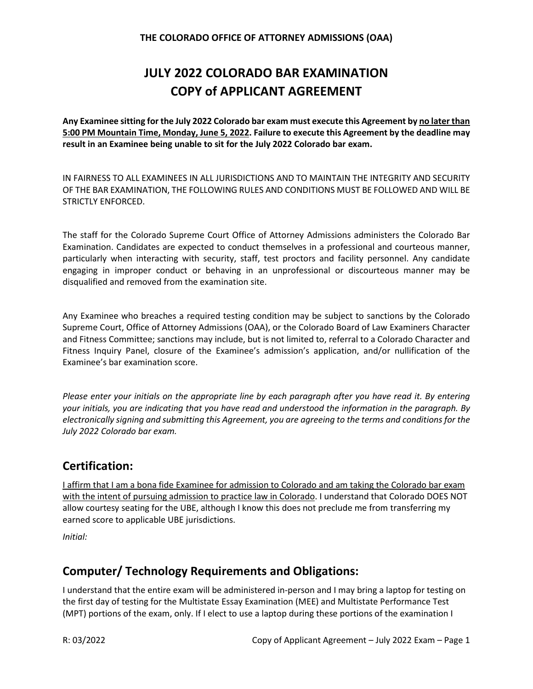# **JULY 2022 COLORADO BAR EXAMINATION COPY of APPLICANT AGREEMENT**

**Any Examinee sitting for the July 2022 Colorado bar exam must execute this Agreement by no later than 5:00 PM Mountain Time, Monday, June 5, 2022. Failure to execute this Agreement by the deadline may result in an Examinee being unable to sit for the July 2022 Colorado bar exam.**

IN FAIRNESS TO ALL EXAMINEES IN ALL JURISDICTIONS AND TO MAINTAIN THE INTEGRITY AND SECURITY OF THE BAR EXAMINATION, THE FOLLOWING RULES AND CONDITIONS MUST BE FOLLOWED AND WILL BE STRICTLY ENFORCED.

The staff for the Colorado Supreme Court Office of Attorney Admissions administers the Colorado Bar Examination. Candidates are expected to conduct themselves in a professional and courteous manner, particularly when interacting with security, staff, test proctors and facility personnel. Any candidate engaging in improper conduct or behaving in an unprofessional or discourteous manner may be disqualified and removed from the examination site.

Any Examinee who breaches a required testing condition may be subject to sanctions by the Colorado Supreme Court, Office of Attorney Admissions (OAA), or the Colorado Board of Law Examiners Character and Fitness Committee; sanctions may include, but is not limited to, referral to a Colorado Character and Fitness Inquiry Panel, closure of the Examinee's admission's application, and/or nullification of the Examinee's bar examination score.

*Please enter your initials on the appropriate line by each paragraph after you have read it. By entering your initials, you are indicating that you have read and understood the information in the paragraph. By electronically signing and submitting this Agreement, you are agreeing to the terms and conditions for the July 2022 Colorado bar exam.*

# **Certification:**

I affirm that I am a bona fide Examinee for admission to Colorado and am taking the Colorado bar exam with the intent of pursuing admission to practice law in Colorado. I understand that Colorado DOES NOT allow courtesy seating for the UBE, although I know this does not preclude me from transferring my earned score to applicable UBE jurisdictions.

*Initial:*

# **Computer/ Technology Requirements and Obligations:**

I understand that the entire exam will be administered in-person and I may bring a laptop for testing on the first day of testing for the Multistate Essay Examination (MEE) and Multistate Performance Test (MPT) portions of the exam, only. If I elect to use a laptop during these portions of the examination I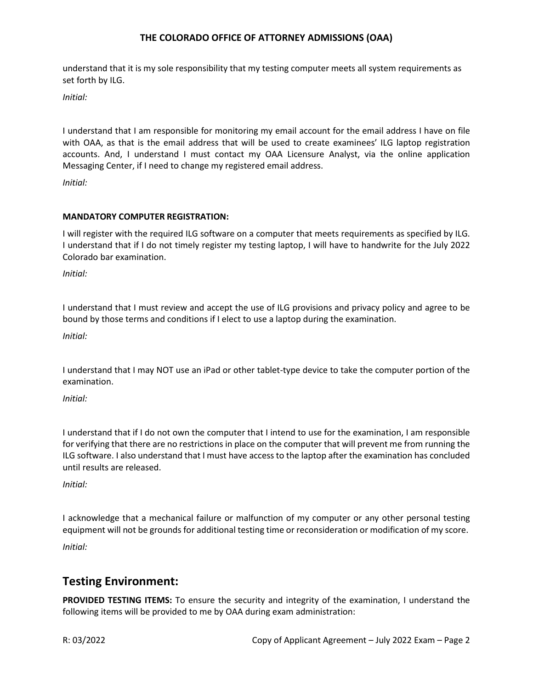understand that it is my sole responsibility that my testing computer meets all system requirements as set forth by ILG.

*Initial:*

I understand that I am responsible for monitoring my email account for the email address I have on file with OAA, as that is the email address that will be used to create examinees' ILG laptop registration accounts. And, I understand I must contact my OAA Licensure Analyst, via the online application Messaging Center, if I need to change my registered email address.

*Initial:*

#### **MANDATORY COMPUTER REGISTRATION:**

I will register with the required ILG software on a computer that meets requirements as specified by ILG. I understand that if I do not timely register my testing laptop, I will have to handwrite for the July 2022 Colorado bar examination.

*Initial:*

I understand that I must review and accept the use of ILG provisions and privacy policy and agree to be bound by those terms and conditions if I elect to use a laptop during the examination.

*Initial:*

I understand that I may NOT use an iPad or other tablet-type device to take the computer portion of the examination.

*Initial:*

I understand that if I do not own the computer that I intend to use for the examination, I am responsible for verifying that there are no restrictions in place on the computer that will prevent me from running the ILG software. I also understand that I must have access to the laptop after the examination has concluded until results are released.

*Initial:*

I acknowledge that a mechanical failure or malfunction of my computer or any other personal testing equipment will not be grounds for additional testing time or reconsideration or modification of my score.

*Initial:*

# **Testing Environment:**

**PROVIDED TESTING ITEMS:** To ensure the security and integrity of the examination, I understand the following items will be provided to me by OAA during exam administration: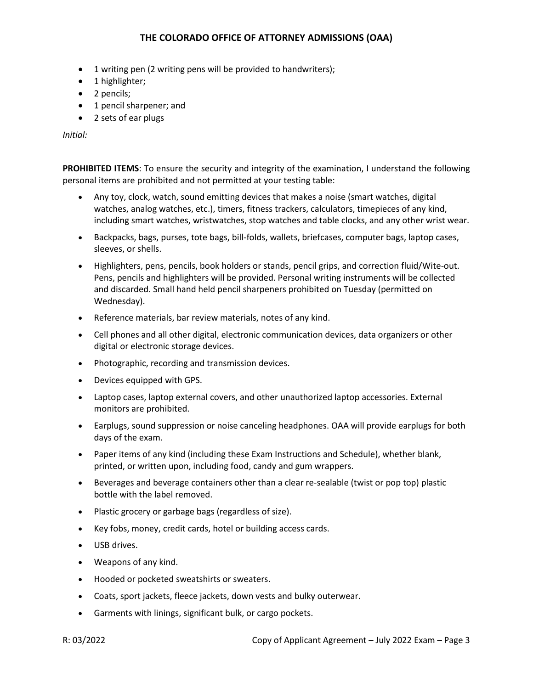- 1 writing pen (2 writing pens will be provided to handwriters);
- 1 highlighter;
- 2 pencils;
- 1 pencil sharpener; and
- 2 sets of ear plugs

*Initial:*

**PROHIBITED ITEMS**: To ensure the security and integrity of the examination, I understand the following personal items are prohibited and not permitted at your testing table:

- Any toy, clock, watch, sound emitting devices that makes a noise (smart watches, digital watches, analog watches, etc.), timers, fitness trackers, calculators, timepieces of any kind, including smart watches, wristwatches, stop watches and table clocks, and any other wrist wear.
- Backpacks, bags, purses, tote bags, bill-folds, wallets, briefcases, computer bags, laptop cases, sleeves, or shells.
- Highlighters, pens, pencils, book holders or stands, pencil grips, and correction fluid/Wite-out. Pens, pencils and highlighters will be provided. Personal writing instruments will be collected and discarded. Small hand held pencil sharpeners prohibited on Tuesday (permitted on Wednesday).
- Reference materials, bar review materials, notes of any kind.
- Cell phones and all other digital, electronic communication devices, data organizers or other digital or electronic storage devices.
- Photographic, recording and transmission devices.
- Devices equipped with GPS.
- Laptop cases, laptop external covers, and other unauthorized laptop accessories. External monitors are prohibited.
- Earplugs, sound suppression or noise canceling headphones. OAA will provide earplugs for both days of the exam.
- Paper items of any kind (including these Exam Instructions and Schedule), whether blank, printed, or written upon, including food, candy and gum wrappers.
- Beverages and beverage containers other than a clear re-sealable (twist or pop top) plastic bottle with the label removed.
- Plastic grocery or garbage bags (regardless of size).
- Key fobs, money, credit cards, hotel or building access cards.
- USB drives.
- Weapons of any kind.
- Hooded or pocketed sweatshirts or sweaters.
- Coats, sport jackets, fleece jackets, down vests and bulky outerwear.
- Garments with linings, significant bulk, or cargo pockets.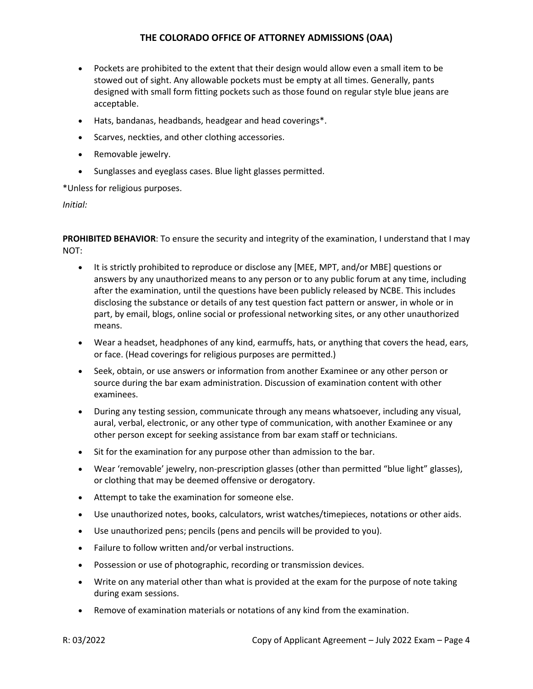- Pockets are prohibited to the extent that their design would allow even a small item to be stowed out of sight. Any allowable pockets must be empty at all times. Generally, pants designed with small form fitting pockets such as those found on regular style blue jeans are acceptable.
- Hats, bandanas, headbands, headgear and head coverings\*.
- Scarves, neckties, and other clothing accessories.
- Removable jewelry.
- Sunglasses and eyeglass cases. Blue light glasses permitted.

\*Unless for religious purposes.

*Initial:*

**PROHIBITED BEHAVIOR**: To ensure the security and integrity of the examination, I understand that I may NOT:

- It is strictly prohibited to reproduce or disclose any [MEE, MPT, and/or MBE] questions or answers by any unauthorized means to any person or to any public forum at any time, including after the examination, until the questions have been publicly released by NCBE. This includes disclosing the substance or details of any test question fact pattern or answer, in whole or in part, by email, blogs, online social or professional networking sites, or any other unauthorized means.
- Wear a headset, headphones of any kind, earmuffs, hats, or anything that covers the head, ears, or face. (Head coverings for religious purposes are permitted.)
- Seek, obtain, or use answers or information from another Examinee or any other person or source during the bar exam administration. Discussion of examination content with other examinees.
- During any testing session, communicate through any means whatsoever, including any visual, aural, verbal, electronic, or any other type of communication, with another Examinee or any other person except for seeking assistance from bar exam staff or technicians.
- Sit for the examination for any purpose other than admission to the bar.
- Wear 'removable' jewelry, non-prescription glasses (other than permitted "blue light" glasses), or clothing that may be deemed offensive or derogatory.
- Attempt to take the examination for someone else.
- Use unauthorized notes, books, calculators, wrist watches/timepieces, notations or other aids.
- Use unauthorized pens; pencils (pens and pencils will be provided to you).
- Failure to follow written and/or verbal instructions.
- Possession or use of photographic, recording or transmission devices.
- Write on any material other than what is provided at the exam for the purpose of note taking during exam sessions.
- Remove of examination materials or notations of any kind from the examination.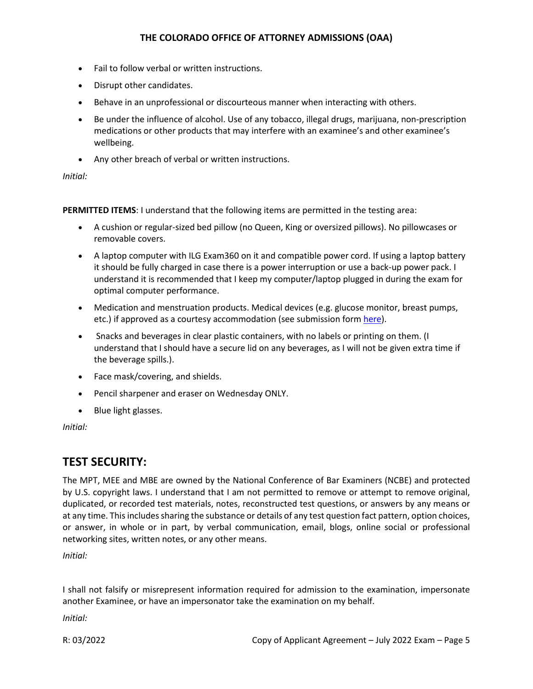- Fail to follow verbal or written instructions.
- Disrupt other candidates.
- Behave in an unprofessional or discourteous manner when interacting with others.
- Be under the influence of alcohol. Use of any tobacco, illegal drugs, marijuana, non-prescription medications or other products that may interfere with an examinee's and other examinee's wellbeing.
- Any other breach of verbal or written instructions.

#### *Initial:*

**PERMITTED ITEMS**: I understand that the following items are permitted in the testing area:

- A cushion or regular-sized bed pillow (no Queen, King or oversized pillows). No pillowcases or removable covers.
- A laptop computer with ILG Exam360 on it and compatible power cord. If using a laptop battery it should be fully charged in case there is a power interruption or use a back-up power pack. I understand it is recommended that I keep my computer/laptop plugged in during the exam for optimal computer performance.
- Medication and menstruation products. Medical devices (e.g. glucose monitor, breast pumps, etc.) if approved as a courtesy accommodation (see submission for[m here\)](https://www.coloradosupremecourt.com/Future%20Lawyers/TestingAccommodations.asp).
- Snacks and beverages in clear plastic containers, with no labels or printing on them. (I understand that I should have a secure lid on any beverages, as I will not be given extra time if the beverage spills.).
- Face mask/covering, and shields.
- Pencil sharpener and eraser on Wednesday ONLY.
- Blue light glasses.

*Initial:*

# **TEST SECURITY:**

The MPT, MEE and MBE are owned by the National Conference of Bar Examiners (NCBE) and protected by U.S. copyright laws. I understand that I am not permitted to remove or attempt to remove original, duplicated, or recorded test materials, notes, reconstructed test questions, or answers by any means or at any time. This includes sharing the substance or details of any test question fact pattern, option choices, or answer, in whole or in part, by verbal communication, email, blogs, online social or professional networking sites, written notes, or any other means.

*Initial:*

I shall not falsify or misrepresent information required for admission to the examination, impersonate another Examinee, or have an impersonator take the examination on my behalf.

*Initial:*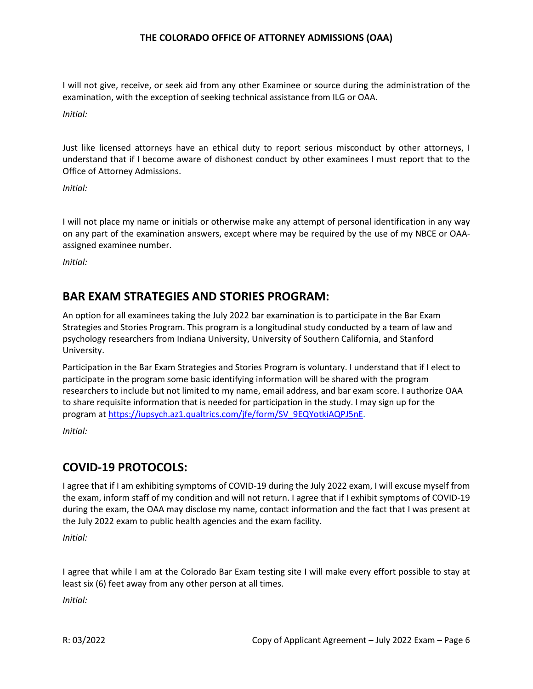I will not give, receive, or seek aid from any other Examinee or source during the administration of the examination, with the exception of seeking technical assistance from ILG or OAA.

*Initial:*

Just like licensed attorneys have an ethical duty to report serious misconduct by other attorneys, I understand that if I become aware of dishonest conduct by other examinees I must report that to the Office of Attorney Admissions.

*Initial:*

I will not place my name or initials or otherwise make any attempt of personal identification in any way on any part of the examination answers, except where may be required by the use of my NBCE or OAAassigned examinee number.

*Initial:*

# **BAR EXAM STRATEGIES AND STORIES PROGRAM:**

An option for all examinees taking the July 2022 bar examination is to participate in the Bar Exam Strategies and Stories Program. This program is a longitudinal study conducted by a team of law and psychology researchers from Indiana University, University of Southern California, and Stanford University.

Participation in the Bar Exam Strategies and Stories Program is voluntary. I understand that if I elect to participate in the program some basic identifying information will be shared with the program researchers to include but not limited to my name, email address, and bar exam score. I authorize OAA to share requisite information that is needed for participation in the study. I may sign up for the program a[t https://iupsych.az1.qualtrics.com/jfe/form/SV\\_9EQYotkiAQPJ5nE.](https://iupsych.az1.qualtrics.com/jfe/form/SV_9EQYotkiAQPJ5nE) *Initial:*

# **COVID-19 PROTOCOLS:**

I agree that if I am exhibiting symptoms of COVID-19 during the July 2022 exam, I will excuse myself from the exam, inform staff of my condition and will not return. I agree that if I exhibit symptoms of COVID-19 during the exam, the OAA may disclose my name, contact information and the fact that I was present at the July 2022 exam to public health agencies and the exam facility.

*Initial:*

I agree that while I am at the Colorado Bar Exam testing site I will make every effort possible to stay at least six (6) feet away from any other person at all times.

*Initial:*